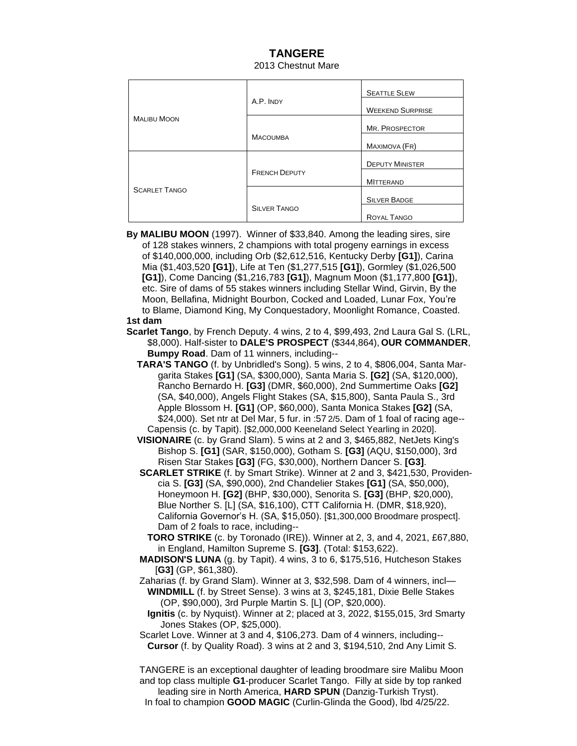## **TANGERE** 2013 Chestnut Mare

| <b>MALIBU MOON</b>   | A.P. INDY            | <b>SEATTLE SLEW</b>     |
|----------------------|----------------------|-------------------------|
|                      |                      | <b>WEEKEND SURPRISE</b> |
|                      |                      | MR. PROSPECTOR          |
|                      | <b>MACOUMBA</b>      | MAXIMOVA (FR)           |
| <b>SCARLET TANGO</b> | <b>FRENCH DEPUTY</b> | <b>DEPUTY MINISTER</b>  |
|                      |                      | <b>MITTERAND</b>        |
|                      |                      | <b>SILVER BADGE</b>     |
|                      | <b>SILVER TANGO</b>  | ROYAL TANGO             |

 **By MALIBU MOON** (1997). Winner of \$33,840. Among the leading sires, sire of 128 stakes winners, 2 champions with total progeny earnings in excess of \$140,000,000, including Orb (\$2,612,516, Kentucky Derby **[G1]**), Carina Mia (\$1,403,520 **[G1]**), Life at Ten (\$1,277,515 **[G1]**), Gormley (\$1,026,500 **[G1]**), Come Dancing (\$1,216,783 **[G1]**), Magnum Moon (\$1,177,800 **[G1]**), etc. Sire of dams of 55 stakes winners including Stellar Wind, Girvin, By the Moon, Bellafina, Midnight Bourbon, Cocked and Loaded, Lunar Fox, You're to Blame, Diamond King, My Conquestadory, Moonlight Romance, Coasted.

## **1st dam**

- **Scarlet Tango**, by French Deputy. 4 wins, 2 to 4, \$99,493, 2nd Laura Gal S. (LRL, \$8,000). Half-sister to **DALE'S PROSPECT** (\$344,864), **OUR COMMANDER**, **Bumpy Road**. Dam of 11 winners, including--
	- **TARA'S TANGO** (f. by Unbridled's Song). 5 wins, 2 to 4, \$806,004, Santa Mar garita Stakes **[G1]** (SA, \$300,000), Santa Maria S. **[G2]** (SA, \$120,000), Rancho Bernardo H. **[G3]** (DMR, \$60,000), 2nd Summertime Oaks **[G2]** (SA, \$40,000), Angels Flight Stakes (SA, \$15,800), Santa Paula S., 3rd Apple Blossom H. **[G1]** (OP, \$60,000), Santa Monica Stakes **[G2]** (SA, \$24,000). Set ntr at Del Mar, 5 fur. in :57 2/5. Dam of 1 foal of racing age-- Capensis (c. by Tapit). [\$2,000,000 Keeneland Select Yearling in 2020].
	- **VISIONAIRE** (c. by Grand Slam). 5 wins at 2 and 3, \$465,882, NetJets King's Bishop S. **[G1]** (SAR, \$150,000), Gotham S. **[G3]** (AQU, \$150,000), 3rd Risen Star Stakes **[G3]** (FG, \$30,000), Northern Dancer S. **[G3]**.
	- **SCARLET STRIKE** (f. by Smart Strike). Winner at 2 and 3, \$421,530, Providen cia S. **[G3]** (SA, \$90,000), 2nd Chandelier Stakes **[G1]** (SA, \$50,000), Honeymoon H. **[G2]** (BHP, \$30,000), Senorita S. **[G3]** (BHP, \$20,000), Blue Norther S. [L] (SA, \$16,100), CTT California H. (DMR, \$18,920), California Governor's H. (SA, \$15,050). [\$1,300,000 Broodmare prospect]. Dam of 2 foals to race, including--
		- **TORO STRIKE** (c. by Toronado (IRE)). Winner at 2, 3, and 4, 2021, £67,880, in England, Hamilton Supreme S. **[G3]**. (Total: \$153,622).
	- **MADISON'S LUNA** (g. by Tapit). 4 wins, 3 to 6, \$175,516, Hutcheson Stakes [**G3]** (GP, \$61,380).
	- Zaharias (f. by Grand Slam). Winner at 3, \$32,598. Dam of 4 winners, incl—
	- **WINDMILL** (f. by Street Sense). 3 wins at 3, \$245,181, Dixie Belle Stakes (OP, \$90,000), 3rd Purple Martin S. [L] (OP, \$20,000).
	- **Ignitis** (c. by Nyquist). Winner at 2; placed at 3, 2022, \$155,015, 3rd Smarty Jones Stakes (OP, \$25,000).
	- Scarlet Love. Winner at 3 and 4, \$106,273. Dam of 4 winners, including-- **Cursor** (f. by Quality Road). 3 wins at 2 and 3, \$194,510, 2nd Any Limit S.

 TANGERE is an exceptional daughter of leading broodmare sire Malibu Moon and top class multiple **G1**-producer Scarlet Tango. Filly at side by top ranked leading sire in North America, **HARD SPUN** (Danzig-Turkish Tryst). In foal to champion **GOOD MAGIC** (Curlin-Glinda the Good), lbd 4/25/22.